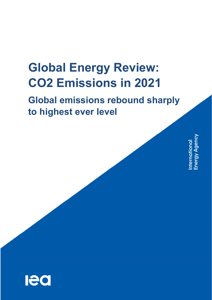# **Global Energy Review: CO2 Emissions in 2021**

## **Global emissions rebound sharply to highest ever level**

International<br>Energy Agency

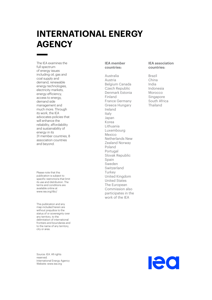## **INTERNATIONAL ENERGY AGENCY**

The IEA examines the full spectrum of energy issues including oil, gas and coal supply and demand, renewable energy technologies, electricity markets, energy efficiency, access to energy, demand side management and much more. Through its work, the IEA advocates policies that will enhance the reliability, affordability and sustainability of energy in its 31 member countries, 8 association countries and beyond.

Please note that this publication is subject to specific restrictions that limit its use and distribution. The terms and conditions are available online at www.iea.org/t&c/

This publication and any map included herein are without prejudice to the status of or sovereignty over any territory, to the delimitation of international frontiers and boundaries and to the name of any territory, city or area.

Source: IEA. All rights reserved. International Energy Agency Website: www.iea.org

#### **IEA member countries:**

Australia Austria Belgium Canada Czech Republic Denmark Estonia Finland France Germany Greece Hungary Ireland Italy Japan Korea Lithuania Luxembourg Mexico Netherlands New Zealand Norway Poland Portugal Slovak Republic Spain Sweden Switzerland **Turkey** United Kingdom United States The European Commission also participates in the work of the IEA

#### **IEA association countries:**

Brazil China India Indonesia Morocco Singapore South Africa Thailand

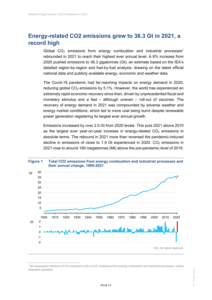### **Energy-related CO2 emissions grew to 36.3 Gt in 2021, a record high**

Global  $CO<sub>2</sub>$  emissions from energy combustion and industrial processes<sup>1</sup> rebounded in 2021 to reach their highest ever annual level. A 6% increase from 2020 pushed emissions to 36.3 gigatonnes (Gt), an estimate based on the IEA's detailed region-by-region and fuel-by-fuel analysis, drawing on the latest official national data and publicly available energy, economic and weather data.

The Covid-19 pandemic had far-reaching impacts on energy demand in 2020, reducing global  $CO<sub>2</sub>$  emissions by 5.1%. However, the world has experienced an extremely rapid economic recovery since then, driven by unprecedented fiscal and monetary stimulus and a fast – although uneven – roll-out of vaccines. The recovery of energy demand in 2021 was compounded by adverse weather and energy market conditions, which led to more coal being burnt despite renewable power generation registering its largest ever annual growth.

Emissions increased by over 2.0 Gt from 2020 levels. This puts 2021 above 2010 as the largest ever year-on-year increase in energy-related  $CO<sub>2</sub>$  emissions in absolute terms. The rebound in 2021 more than reversed the pandemic-induced decline in emissions of close to 1.9 Gt experienced in 2020.  $CO<sub>2</sub>$  emissions in 2021 rose to around 180 megatonnes (Mt) above the pre-pandemic level of 2019.



### **Figure 1 Total CO2 emissions from energy combustion and industrial processes and**

 $\overline{a}$  $^{\rm 1}$  All subsequent mentions of CO<sub>2</sub> emissions refer to CO<sub>2</sub> emissions from energy combustion and industrial processes, unless otherwise specified.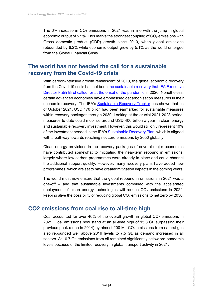The 6% increase in  $CO<sub>2</sub>$  emissions in 2021 was in line with the jump in global economic output of 5.9%. This marks the strongest coupling of  $CO<sub>2</sub>$  emissions with Gross domestic product (GDP) growth since 2010, when global emissions rebounded by 6.2% while economic output grew by 5.1% as the world emerged from the Global Financial Crisis.

#### **The world has not heeded the call for a sustainable recovery from the Covid-19 crisis**

With carbon-intensive growth reminiscent of 2010, the global economic recovery from the Covid-19 crisis has not been the sustainable recovery that IEA Executive Director Fatih Birol called for at the onset of the pandemic in 2020. Nonetheless, certain advanced economies have emphasised decarbonisation measures in their economic recovery. The IEA's Sustainable Recovery Tracker has shown that as of October 2021, USD 470 bilion had been earmarked for sustainable measures within recovery packages through 2030. Looking at the crucial 2021-2023 period, measures to date could mobilise around USD 400 billion a year in clean energy and sustainable recovery investment. However, this would still only represent 40% of the investment needed in the IEA's Sustainable Recovery Plan, which is aligned with a pathway towards reaching net zero emissions by 2050 globally.

Clean energy provisions in the recovery packages of several major economies have contributed somewhat to mitigating the near-term rebound in emissions, largely where low-carbon programmes were already in place and could channel the additional support quickly. However, many recovery plans have added new programmes, which are set to have greater mitigation impacts in the coming years.

The world must now ensure that the global rebound in emissions in 2021 was a one-off – and that sustainable investments combined with the accelerated deployment of clean energy technologies will reduce  $CO<sub>2</sub>$  emissions in 2022, keeping alive the possibility of reducing global  $CO<sub>2</sub>$  emissions to net zero by 2050.

#### **CO2 emissions from coal rise to all-time high**

Coal accounted for over 40% of the overall growth in global  $CO<sub>2</sub>$  emissions in 2021. Coal emissions now stand at an all-time high of 15.3 Gt, surpassing their previous peak (seen in 2014) by almost 200 Mt.  $CO<sub>2</sub>$  emissions from natural gas also rebounded well above 2019 levels to 7.5 Gt, as demand increased in all sectors. At 10.7 Gt, emissions from oil remained significantly below pre-pandemic levels because of the limited recovery in global transport activity in 2021.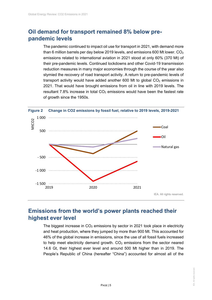### **Oil demand for transport remained 8% below prepandemic levels**

The pandemic continued to impact oil use for transport in 2021, with demand more than 6 million barrels per day below 2019 levels, and emissions 600 Mt lower.  $CO<sub>2</sub>$ emissions related to international aviation in 2021 stood at only 60% (370 Mt) of their pre-pandemic levels. Continued lockdowns and other Covid-19 transmission reduction measures in many major economies through the course of the year also stymied the recovery of road transport activity. A return to pre-pandemic levels of transport activity would have added another 600 Mt to global  $CO<sub>2</sub>$  emissions in 2021. That would have brought emissions from oil in line with 2019 levels. The resultant 7.8% increase in total  $CO<sub>2</sub>$  emissions would have been the fastest rate of growth since the 1950s.



#### **Emissions from the world's power plants reached their highest ever level**

The biggest increase in  $CO<sub>2</sub>$  emissions by sector in 2021 took place in electricity and heat production, where they jumped by more than 900 Mt. This accounted for 46% of the global increase in emissions, since the use of all fossil fuels increased to help meet electricity demand growth.  $CO<sub>2</sub>$  emissions from the sector neared 14.6 Gt, their highest ever level and around 500 Mt higher than in 2019. The People's Republic of China (hereafter "China") accounted for almost all of the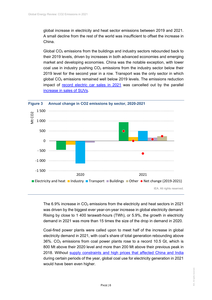global increase in electricity and heat sector emissions between 2019 and 2021. A small decline from the rest of the world was insufficient to offset the increase in China.

Global  $CO<sub>2</sub>$  emissions from the buildings and industry sectors rebounded back to their 2019 levels, driven by increases in both advanced economies and emerging market and developing economies. China was the notable exception, with lower coal use in industry pushing  $CO<sub>2</sub>$  emissions from the industry sector below their 2019 level for the second year in a row. Transport was the only sector in which global  $CO<sub>2</sub>$  emissions remained well below 2019 levels. The emissions reduction impact of record electric car sales in 2021 was cancelled out by the parallel increase in sales of SUVs.



The 6.9% increase in  $CO<sub>2</sub>$  emissions from the electricity and heat sectors in 2021 was driven by the biggest ever year-on-year increase in global electricity demand. Rising by close to 1 400 terawatt-hours (TWh), or 5.9%, the growth in electricity demand in 2021 was more than 15 times the size of the drop in demand in 2020.

Coal-fired power plants were called upon to meet half of the increase in global electricity demand in 2021, with coal's share of total generation rebounding above  $36\%$ . CO<sub>2</sub> emissions from coal power plants rose to a record 10.5 Gt, which is 800 Mt above their 2020 level and more than 200 Mt above their previous peak in 2018. Without supply constraints and high prices that affected China and India during certain periods of the year, global coal use for electricity generation in 2021 would have been even higher.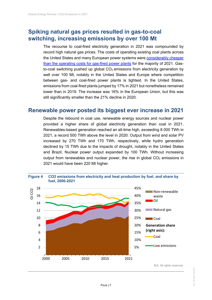#### **Spiking natural gas prices resulted in gas-to-coal switching, increasing emissions by over 100 Mt**

The recourse to coal-fired electricity generation in 2021 was compounded by record high natural gas prices. The costs of operating existing coal plants across the United States and many European power systems were considerably cheaper than the operating costs for gas-fired power plants for the majority of 2021. Gasto-coal switching pushed up global  $CO<sub>2</sub>$  emissions from electricity generation by well over 100 Mt, notably in the United States and Europe where competition between gas- and coal-fired power plants is tightest. In the United States, emissions from coal-fired plants jumped by 17% in 2021 but nonetheless remained lower than in 2019. The increase was 16% in the European Union, but this was still significantly smaller than the 21% decline in 2020.

#### **Renewable power posted its biggest ever increase in 2021**

Despite the rebound in coal use, renewable energy sources and nuclear power provided a higher share of global electricity generation than coal in 2021. Renewables-based generation reached an all-time high, exceeding 8 000 TWh in 2021, a record 500 TWh above the level in 2020. Output from wind and solar PV increased by 270 TWh and 170 TWh, respectively, while hydro generation declined by 15 TWh due to the impacts of drought, notably in the United States and Brazil. Nuclear power output expanded by 100 TWh. Without increasing output from renewables and nuclear power, the rise in global  $CO<sub>2</sub>$  emissions in 2021 would have been 220 Mt higher.

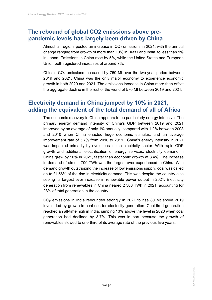#### **The rebound of global CO2 emissions above prepandemic levels has largely been driven by China**

Almost all regions posted an increase in  $CO<sub>2</sub>$  emissions in 2021, with the annual change ranging from growth of more than 10% in Brazil and India, to less than 1% in Japan. Emissions in China rose by 5%, while the United States and European Union both registered increases of around 7%.

China's  $CO<sub>2</sub>$  emissions increased by 750 Mt over the two-year period between 2019 and 2021. China was the only major economy to experience economic growth in both 2020 and 2021. The emissions increase in China more than offset the aggregate decline in the rest of the world of 570 Mt between 2019 and 2021.

#### **Electricity demand in China jumped by 10% in 2021, adding the equivalent of the total demand of all of Africa**

The economic recovery in China appears to be particularly energy intensive. The primary energy demand intensity of China's GDP between 2019 and 2021 improved by an average of only 1% annually, compared with 1.2% between 2008 and 2010 when China enacted huge economic stimulus, and an average improvement rate of 3.7% from 2010 to 2019. China's energy intensity in 2021 was impacted primarily by evolutions in the electricity sector. With rapid GDP growth and additional electrification of energy services, electricity demand in China grew by 10% in 2021, faster than economic growth at 8.4%. The increase in demand of almost 700 TWh was the largest ever experienced in China. With demand growth outstripping the increase of low emissions supply, coal was called on to fill 56% of the rise in electricity demand. This was despite the country also seeing its largest ever increase in renewable power output in 2021. Electricity generation from renewables in China neared 2 500 TWh in 2021, accounting for 28% of total generation in the country.

CO2 emissions in India rebounded strongly in 2021 to rise 80 Mt above 2019 levels, led by growth in coal use for electricity generation. Coal-fired generation reached an all-time high in India, jumping 13% above the level in 2020 when coal generation had declined by 3.7%. This was in part because the growth of renewables slowed to one-third of its average rate of the previous five years.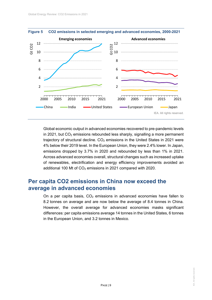

**Figure 5 CO2 emissions in selected emerging and advanced economies, 2000-2021** 

Global economic output in advanced economies recovered to pre-pandemic levels in 2021, but  $CO<sub>2</sub>$  emissions rebounded less sharply, signalling a more permanent trajectory of structural decline.  $CO<sub>2</sub>$  emissions in the United States in 2021 were 4% below their 2019 level. In the European Union, they were 2.4% lower. In Japan, emissions dropped by 3.7% in 2020 and rebounded by less than 1% in 2021. Across advanced economies overall, structural changes such as increased uptake of renewables, electrification and energy efficiency improvements avoided an additional 100 Mt of  $CO<sub>2</sub>$  emissions in 2021 compared with 2020.

#### **Per capita CO2 emissions in China now exceed the average in advanced economies**

On a per capita basis,  $CO<sub>2</sub>$  emissions in advanced economies have fallen to 8.2 tonnes on average and are now below the average of 8.4 tonnes in China. However, the overall average for advanced economies masks significant differences: per capita emissions average 14 tonnes in the United States, 6 tonnes in the European Union, and 3.2 tonnes in Mexico.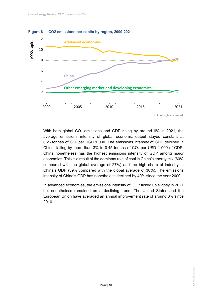

With both global  $CO<sub>2</sub>$  emissions and GDP rising by around 6% in 2021, the average emissions intensity of global economic output stayed constant at 0.26 tonnes of CO<sub>2</sub> per USD 1 000. The emissions intensity of GDP declined in China, falling by more than 3% to 0.45 tonnes of  $CO<sub>2</sub>$  per USD 1 000 of GDP. China nonetheless has the highest emissions intensity of GDP among major economies. This is a result of the dominant role of coal in China's energy mix (60% compared with the global average of 27%) and the high share of industry in China's GDP (39% compared with the global average of 30%). The emissions intensity of China's GDP has nonetheless declined by 40% since the year 2000.

In advanced economies, the emissions intensity of GDP ticked up slightly in 2021 but nonetheless remained on a declining trend. The United States and the European Union have averaged an annual improvement rate of around 3% since 2010.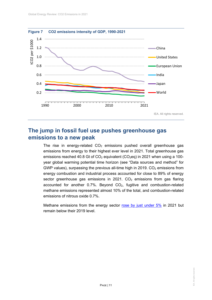

#### **The jump in fossil fuel use pushes greenhouse gas emissions to a new peak**

The rise in energy-related  $CO<sub>2</sub>$  emissions pushed overall greenhouse gas emissions from energy to their highest ever level in 2021. Total greenhouse gas emissions reached 40.8 Gt of  $CO<sub>2</sub>$  equivalent ( $CO<sub>2</sub>$ eq) in 2021 when using a 100year global warming potential time horizon (see "Data sources and method" for GWP values), surpassing the previous all-time high in 2019.  $CO<sub>2</sub>$  emissions from energy combustion and industrial process accounted for close to 89% of energy sector greenhouse gas emissions in 2021.  $CO<sub>2</sub>$  emissions from gas flaring accounted for another  $0.7\%$ . Beyond  $CO<sub>2</sub>$ , fugitive and combustion-related methane emissions represented almost 10% of the total, and combustion-related emissions of nitrous oxide 0.7%.

Methane emissions from the energy sector rose by just under 5% in 2021 but remain below their 2019 level.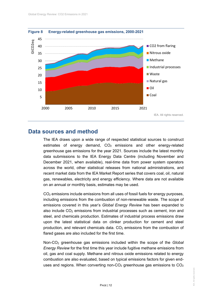

**Figure 8 Energy-related greenhouse gas emissions, 2000-2021** 

#### **Data sources and method**

The IEA draws upon a wide range of respected statistical sources to construct estimates of energy demand,  $CO<sub>2</sub>$  emissions and other energy-related greenhouse gas emissions for the year 2021. Sources include the latest monthly data submissions to the IEA Energy Data Centre (including November and December 2021, when available), real-time data from power system operators across the world, other statistical releases from national administrations, and recent market data from the IEA Market Report series that covers coal, oil, natural gas, renewables, electricity and energy efficiency. Where data are not available on an annual or monthly basis, estimates may be used.

 $CO<sub>2</sub>$  emissions include emissions from all uses of fossil fuels for energy purposes, including emissions from the combustion of non-renewable waste. The scope of emissions covered in this year's *Global Energy Review* has been expanded to also include  $CO<sub>2</sub>$  emissions from industrial processes such as cement, iron and steel, and chemicals production. Estimates of industrial process emissions draw upon the latest statistical data on clinker production for cement and steel production, and relevant chemicals data.  $CO<sub>2</sub>$  emissions from the combustion of flared gases are also included for the first time.

Non-CO2 greenhouse gas emissions included within the scope of the *Global Energy Review* for the first time this year include fugitive methane emissions from oil, gas and coal supply. Methane and nitrous oxide emissions related to energy combustion are also evaluated, based on typical emissions factors for given enduses and regions. When converting non-CO<sub>2</sub> greenhouse gas emissions to  $CO<sub>2</sub>$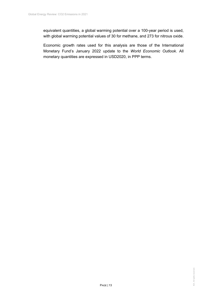equivalent quantities, a global warming potential over a 100-year period is used, with global warming potential values of 30 for methane, and 273 for nitrous oxide.

Economic growth rates used for this analysis are those of the International Monetary Fund's January 2022 update to the *World Economic Outlook*. All monetary quantities are expressed in USD2020, in PPP terms.